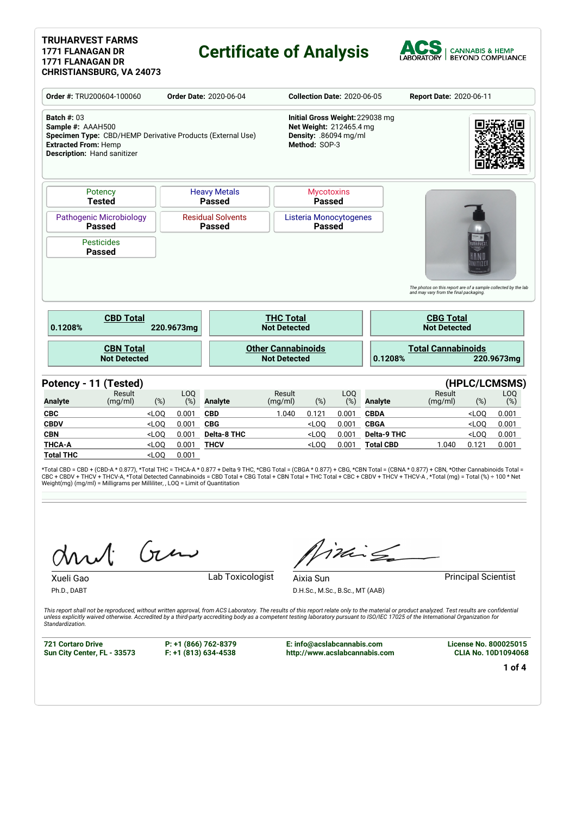#### **TRUHARVEST FARMS 1771 FLANAGAN DR 1771 FLANAGAN DR CHRISTIANSBURG, VA 24073**

### **Certificate of Analysis**



|                                                                                                                                                                     | Order #: TRU200604-100060<br><b>Order Date: 2020-06-04</b> |                    |                        |                                           |                                                  | <b>Collection Date: 2020-06-05</b>                                |                        |                                 | Report Date: 2020-06-11                                                                                  |                  |                                          |  |
|---------------------------------------------------------------------------------------------------------------------------------------------------------------------|------------------------------------------------------------|--------------------|------------------------|-------------------------------------------|--------------------------------------------------|-------------------------------------------------------------------|------------------------|---------------------------------|----------------------------------------------------------------------------------------------------------|------------------|------------------------------------------|--|
| <b>Batch #: 03</b><br>Sample #: AAAH500<br>Specimen Type: CBD/HEMP Derivative Products (External Use)<br><b>Extracted From: Hemp</b><br>Description: Hand sanitizer |                                                            |                    |                        |                                           |                                                  | Net Weight: 212465.4 mg<br>Density: .86094 mg/ml<br>Method: SOP-3 |                        | Initial Gross Weight: 229038 mg |                                                                                                          |                  |                                          |  |
|                                                                                                                                                                     | Potency<br><b>Tested</b>                                   |                    |                        | <b>Heavy Metals</b><br><b>Passed</b>      |                                                  | <b>Mycotoxins</b><br><b>Passed</b>                                |                        |                                 |                                                                                                          |                  |                                          |  |
| <b>Pathogenic Microbiology</b><br><b>Passed</b>                                                                                                                     |                                                            |                    |                        | <b>Residual Solvents</b><br><b>Passed</b> |                                                  | Listeria Monocytogenes<br><b>Passed</b>                           |                        |                                 |                                                                                                          |                  |                                          |  |
|                                                                                                                                                                     | <b>Pesticides</b><br><b>Passed</b>                         |                    |                        |                                           |                                                  |                                                                   |                        |                                 |                                                                                                          | UHARVES'         |                                          |  |
|                                                                                                                                                                     |                                                            |                    |                        |                                           |                                                  |                                                                   |                        |                                 | The photos on this report are of a sample collected by the lab<br>and may vary from the final packaging. |                  |                                          |  |
| 0.1208%                                                                                                                                                             | <b>CBD Total</b>                                           |                    | 220.9673mg             |                                           | <b>THC Total</b><br><b>Not Detected</b>          |                                                                   |                        |                                 | <b>CBG Total</b><br><b>Not Detected</b>                                                                  |                  |                                          |  |
|                                                                                                                                                                     | <b>CBN Total</b><br><b>Not Detected</b>                    |                    |                        |                                           | <b>Other Cannabinoids</b><br><b>Not Detected</b> |                                                                   |                        | 0.1208%                         | <b>Total Cannabinoids</b>                                                                                |                  | 220.9673mg                               |  |
|                                                                                                                                                                     | Potency - 11 (Tested)                                      |                    |                        |                                           |                                                  |                                                                   |                        |                                 |                                                                                                          |                  |                                          |  |
| <b>Analyte</b>                                                                                                                                                      | Result<br>(mg/ml)                                          | $(\%)$             | LO <sub>0</sub><br>(%) | <b>Analyte</b>                            | Result<br>(mg/ml)                                | $(\%)$                                                            | LO <sub>O</sub><br>(%) | <b>Analyte</b>                  | Result<br>(mg/ml)                                                                                        | (%)              | (HPLC/LCMSMS)<br>L <sub>O</sub> O<br>(%) |  |
| <b>CBC</b>                                                                                                                                                          |                                                            | $<$ LOO            | 0.001                  | <b>CBD</b>                                | 1.040                                            | 0.121                                                             | 0.001                  | <b>CBDA</b>                     |                                                                                                          | $<$ LOO          | 0.001                                    |  |
| <b>CBDV</b>                                                                                                                                                         |                                                            | $<$ LOQ            | 0.001                  | <b>CBG</b>                                |                                                  | $<$ LOQ                                                           | 0.001                  | <b>CBGA</b>                     |                                                                                                          | $<$ LOQ          | 0.001                                    |  |
| <b>CBN</b><br><b>THCA-A</b>                                                                                                                                         |                                                            | $<$ LOO<br>$<$ LOQ | 0.001<br>0.001         | <b>Delta-8 THC</b><br><b>THCV</b>         |                                                  | $<$ LOO<br>$<$ LOQ                                                | 0.001<br>0.001         | Delta-9 THC<br><b>Total CBD</b> | 1.040                                                                                                    | $<$ LOO<br>0.121 | 0.001<br>0.001                           |  |

\*Total CBD = CBD + (CBD-A \* 0.877), \*Total THC = THCA-A \* 0.877 + Delta 9 THC, \*CBG Total = (CBGA \* 0.877) + CBG, \*CBN Total = (CBNA \* 0.877) + CBN, \*Other Cannabinoids Total =<br>CBC + CBDV + THCV + THCV-A, \*Total Detected C

Gen

**Total THC** <LOQ 0.001

Ph.D., DABT

Xueli Gao **Lab Toxicologist** 

iding

D.H.Sc., M.Sc., B.Sc., MT (AAB)

Aixia Sun **Principal Scientist** 

This report shall not be reproduced, without written approval, from ACS Laboratory. The results of this report relate only to the material or product analyzed. Test results are confidential<br>unless explicitly waived otherwi *Standardization.*

**721 Cortaro Drive Sun City Center, FL - 33573** **P: +1 (866) 762-8379 F: +1 (813) 634-4538**

**E: info@acslabcannabis.com http://www.acslabcannabis.com** **License No. 800025015 CLIA No. 10D1094068**

**1 of 4**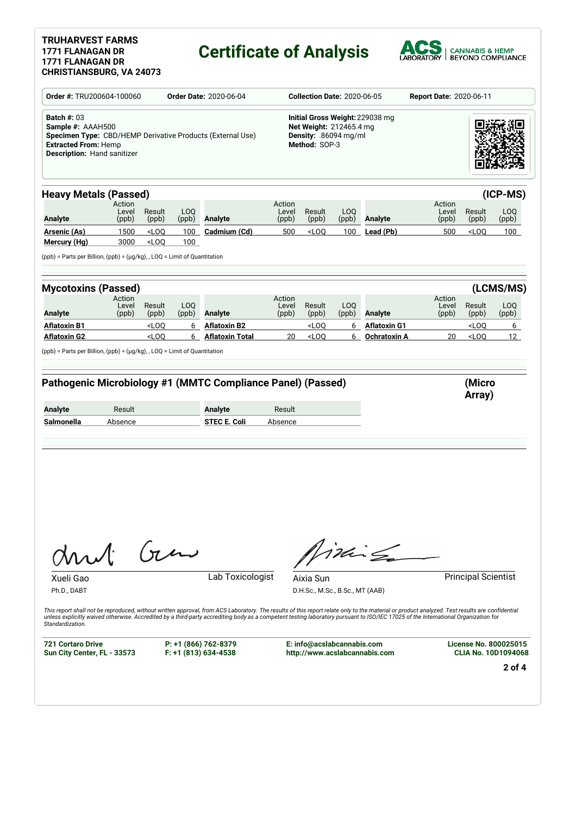### **TRUHARVEST FARMS 1771 FLANAGAN DR 1771 FLANAGAN DR**

# **Certificate of Analysis**



| Order #: TRU200604-100060                                                                             | <b>Order Date: 2020-06-04</b>                                     |                    | <b>Collection Date: 2020-06-05</b>                                                                   |                                                                                                                                                                                                                                                                                                                                                                                                         |                 | <b>Report Date: 2020-06-11</b>               |           |                               |                 |                                                            |                 |
|-------------------------------------------------------------------------------------------------------|-------------------------------------------------------------------|--------------------|------------------------------------------------------------------------------------------------------|---------------------------------------------------------------------------------------------------------------------------------------------------------------------------------------------------------------------------------------------------------------------------------------------------------------------------------------------------------------------------------------------------------|-----------------|----------------------------------------------|-----------|-------------------------------|-----------------|------------------------------------------------------------|-----------------|
| <b>Batch #: 03</b><br>Sample #: AAAH500<br><b>Extracted From: Hemp</b><br>Description: Hand sanitizer | <b>Specimen Type:</b> CBD/HEMP Derivative Products (External Use) |                    | Initial Gross Weight: 229038 mg<br>Net Weight: 212465.4 mg<br>Density: .86094 mg/ml<br>Method: SOP-3 |                                                                                                                                                                                                                                                                                                                                                                                                         |                 |                                              |           |                               |                 |                                                            |                 |
| <b>Heavy Metals (Passed)</b>                                                                          | Action<br>Level                                                   | Result             | LOQ                                                                                                  |                                                                                                                                                                                                                                                                                                                                                                                                         | Action<br>Level | Result                                       | LOQ       |                               | Action<br>Level | Result                                                     | (ICP-MS)<br>LOQ |
| <b>Analyte</b>                                                                                        | (ppb)                                                             | (ppb)              | (ppb)                                                                                                | Analyte                                                                                                                                                                                                                                                                                                                                                                                                 | (ppb)           | (ppb)                                        | (ppb)     | Analyte                       | (ppb)           | (ppb)                                                      | (ppb)           |
| <u> Arsenic (As)</u>                                                                                  | 1500                                                              | $<$ LOQ            | 100                                                                                                  | Cadmium (Cd)                                                                                                                                                                                                                                                                                                                                                                                            | 500             | $<$ LOQ                                      | 100       | Lead (Pb)                     | 500             | $<$ LOQ                                                    | 100             |
| Mercury (Hg)<br>$(ppb)$ = Parts per Billion, $(ppb)$ = $(\mu q/kg)$ , LOQ = Limit of Quantitation     | 3000                                                              | $<$ LOQ            | 100                                                                                                  |                                                                                                                                                                                                                                                                                                                                                                                                         |                 |                                              |           |                               |                 |                                                            |                 |
| <b>Mycotoxins (Passed)</b>                                                                            |                                                                   |                    |                                                                                                      |                                                                                                                                                                                                                                                                                                                                                                                                         |                 |                                              |           |                               |                 |                                                            | (LCMS/MS)       |
|                                                                                                       | Action                                                            |                    | LOQ                                                                                                  |                                                                                                                                                                                                                                                                                                                                                                                                         | Action          |                                              | LOQ       |                               | Action          | Result                                                     |                 |
| <b>Analyte</b>                                                                                        | Level<br>(ppb)                                                    | Result<br>(ppb)    | (ppb)                                                                                                | <b>Analyte</b>                                                                                                                                                                                                                                                                                                                                                                                          | Level<br>(ppb)  | Result<br>(ppb)                              | (ppb)     | <b>Analyte</b>                | Level<br>(ppb)  | (ppb)                                                      | LOQ<br>(ppb)    |
| <b>Aflatoxin B1</b>                                                                                   |                                                                   | $<$ LOQ            | 6                                                                                                    | <b>Aflatoxin B2</b>                                                                                                                                                                                                                                                                                                                                                                                     |                 | $<$ LOQ                                      | 6         | <b>Aflatoxin G1</b>           |                 | $<$ LOQ                                                    | 6               |
| <b>Aflatoxin G2</b>                                                                                   |                                                                   | $<$ LOQ            | 6                                                                                                    | Aflatoxin Total                                                                                                                                                                                                                                                                                                                                                                                         | 20              | $<$ LOQ                                      | 6         | <b>Ochratoxin A</b>           | 20              | $<$ LOQ                                                    | 12              |
|                                                                                                       | Result                                                            |                    |                                                                                                      | Pathogenic Microbiology #1 (MMTC Compliance Panel) (Passed)<br><b>Analyte</b>                                                                                                                                                                                                                                                                                                                           | Result          |                                              |           |                               |                 | (Micro<br>Array)                                           |                 |
|                                                                                                       | Absence                                                           |                    |                                                                                                      | STEC E. Coli                                                                                                                                                                                                                                                                                                                                                                                            | Absence         |                                              |           |                               |                 |                                                            |                 |
| <b>Analyte</b><br>Salmonella<br>Msl                                                                   |                                                                   | $\int \mathcal{U}$ |                                                                                                      |                                                                                                                                                                                                                                                                                                                                                                                                         |                 |                                              | $ikr\leq$ |                               |                 |                                                            |                 |
| Xueli Gac<br>Ph.D., DABT<br>Standardization.                                                          |                                                                   |                    |                                                                                                      | Lab Toxicologist<br>This report shall not be reproduced, without written approval, from ACS Laboratory. The results of this report relate only to the material or product analyzed. Test results are confidential<br>unless explicitly waived otherwise. Accredited by a third-party accrediting body as a competent testing laboratory pursuant to ISO/IEC 17025 of the International Organization for |                 | Aixia Sun<br>D.H.Sc., M.Sc., B.Sc., MT (AAB) |           |                               |                 | <b>Principal Scientist</b>                                 |                 |
| <b>721 Cortaro Drive</b><br>Sun City Center, FL - 33573                                               |                                                                   |                    |                                                                                                      | P: +1 (866) 762-8379<br>$F: +1$ (813) 634-4538                                                                                                                                                                                                                                                                                                                                                          |                 | E: info@acslabcannabis.com                   |           | http://www.acslabcannabis.com |                 | <b>License No. 800025015</b><br><b>CLIA No. 10D1094068</b> |                 |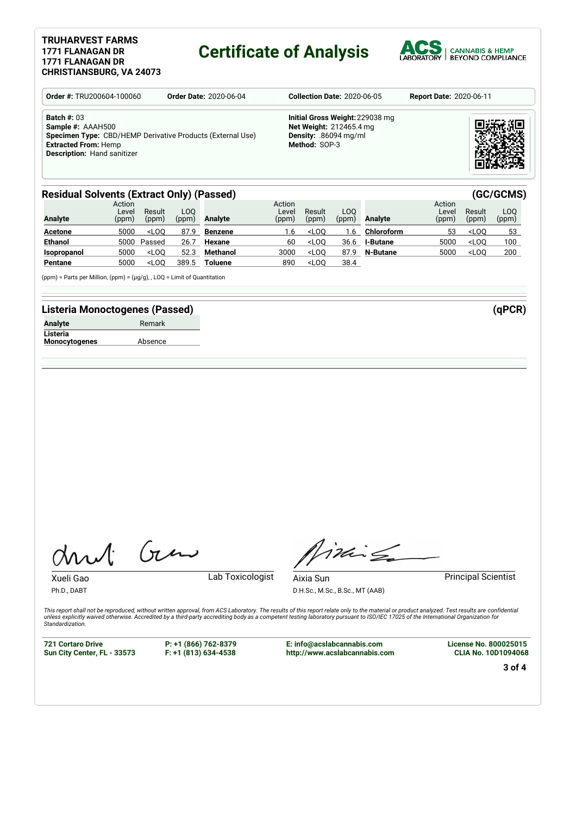#### **TRUHARVEST FARMS 1771 FLANAGAN DR 1771 FLANAGAN DR CHRISTIANSBURG, VA 24073**

### **Certificate of Analysis**



| <b>Order #: TRU200604-100060</b>                                                                                                                                    | <b>Order Date: 2020-06-04</b> | <b>Collection Date: 2020-06-05</b>                                                                                 | <b>Report Date: 2020-06-11</b> |  |  |
|---------------------------------------------------------------------------------------------------------------------------------------------------------------------|-------------------------------|--------------------------------------------------------------------------------------------------------------------|--------------------------------|--|--|
| <b>Batch #: 03</b><br>Sample #: AAAH500<br>Specimen Type: CBD/HEMP Derivative Products (External Use)<br><b>Extracted From: Hemp</b><br>Description: Hand sanitizer |                               | Initial Gross Weight: 229038 mg<br><b>Net Weight: 212465.4 mg</b><br><b>Density: .86094 mg/ml</b><br>Method: SOP-3 |                                |  |  |

#### **Residual Solvents (Extract Only) (Passed) (GC/GCMS)**

| <b>Analyte</b> | Action<br>Level<br>(ppm) | Result<br>(ppm) | .<br>LOO<br>(ppm) | Analyte        | Action<br>Level<br>(ppm) | Result<br>(ppm) | LOO.<br>(ppm) | <b>Analyte</b>  | Action<br>Level<br>(ppm) | Result<br>(ppm) | LOO<br>(ppm) |
|----------------|--------------------------|-----------------|-------------------|----------------|--------------------------|-----------------|---------------|-----------------|--------------------------|-----------------|--------------|
| <b>Acetone</b> | 5000                     | $<$ LOO         | 87.9              | <b>Benzene</b> | 1.6                      | $<$ LOO         | 1.6           | Chloroform      | 53                       | $<$ LOO         | 53           |
| <b>Ethanol</b> | 5000                     | Passed          | 26.7              | Hexane         | 60                       | $<$ LOO         | 36.6          | <b>I-Butane</b> | 5000                     | $<$ LOO         | 100          |
| Isopropanol    | 5000                     | $<$ LOO         | 52.3              | Methanol       | 3000                     | $<$ LOO         | 87.9          | N-Butane        | 5000                     | $<$ LOO         | 200          |
| Pentane        | 5000                     | $<$ LOO         | 389.5             | Toluene        | 890                      | $<$ LOO         | 38.4          |                 |                          |                 |              |

(ppm) = Parts per Million, (ppm) = (µg/g), , LOQ = Limit of Quantitation

#### **Listeria Monoctogenes (Passed) (qPCR)**

| Analyte              | Remark  |
|----------------------|---------|
| Listeria             |         |
| <b>Monocytogenes</b> | Absence |

Gen

Xueli Gao **Lab Toxicologist** 

Ph.D., DABT

Timile Aixia Sun **Principal Scientist** 

D.H.Sc., M.Sc., B.Sc., MT (AAB)

This report shall not be reproduced, without written approval, from ACS Laboratory. The results of this report relate only to the material or product analyzed. Test results are confidential<br>unless explicitly waived otherwi *Standardization.*

**721 Cortaro Drive Sun City Center, FL - 33573** **P: +1 (866) 762-8379 F: +1 (813) 634-4538**

**E: info@acslabcannabis.com http://www.acslabcannabis.com** **License No. 800025015 CLIA No. 10D1094068**

**3 of 4**